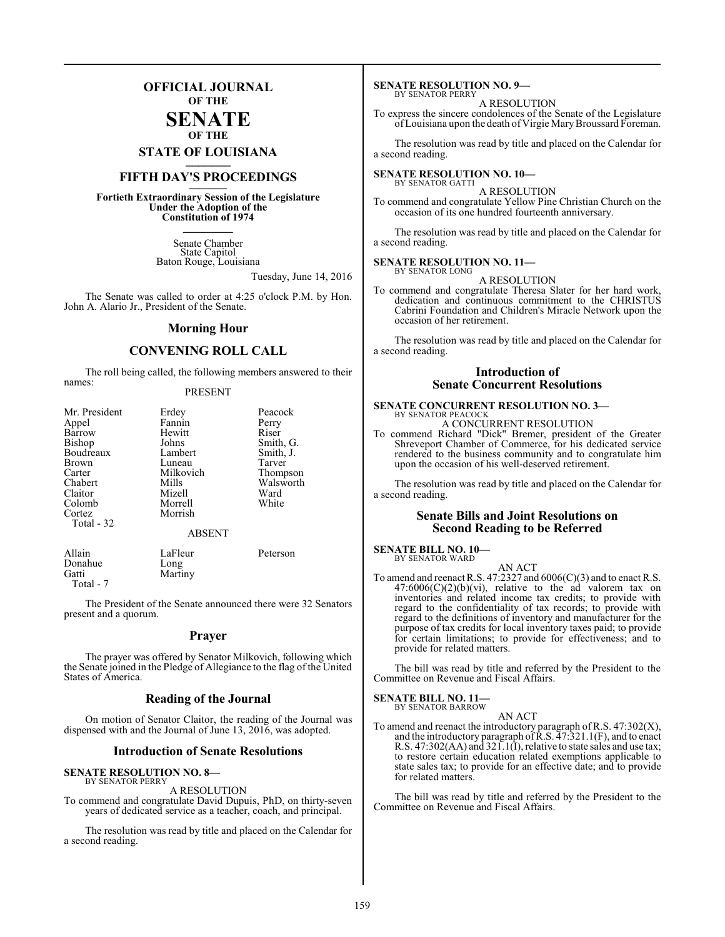# **OFFICIAL JOURNAL OF THE**

# **SENATE OF THE**

**STATE OF LOUISIANA \_\_\_\_\_\_\_**

# **FIFTH DAY'S PROCEEDINGS \_\_\_\_\_\_\_**

**Fortieth Extraordinary Session of the Legislature Under the Adoption of the Constitution of 1974 \_\_\_\_\_\_\_**

> Senate Chamber State Capitol Baton Rouge, Louisiana

> > Tuesday, June 14, 2016

The Senate was called to order at 4:25 o'clock P.M. by Hon. John A. Alario Jr., President of the Senate.

# **Morning Hour**

# **CONVENING ROLL CALL**

The roll being called, the following members answered to their names:

# PRESENT

| Mr. President | Erdey              | Peacock   |
|---------------|--------------------|-----------|
| Appel         | Fannin<br>Perry    |           |
| Barrow        | Hewitt             | Riser     |
| Bishop        | Smith, G.<br>Johns |           |
| Boudreaux     | Lambert            | Smith, J. |
| <b>Brown</b>  | Luneau             | Tarver    |
| Carter        | Milkovich          | Thompson  |
| Chabert       | Mills              | Walsworth |
| Claitor       | Mizell             | Ward      |
| Colomb        | Morrell            | White     |
| Cortez        | Morrish            |           |
| Total - 32    |                    |           |
|               | <b>ABSENT</b>      |           |
| Allain        | LaFleur            | Peterson  |
| Donahue       | Long               |           |
| Gatti         | Martiny            |           |

Total - 7

The President of the Senate announced there were 32 Senators present and a quorum.

# **Prayer**

The prayer was offered by Senator Milkovich, following which the Senate joined in the Pledge of Allegiance to the flag of the United States of America.

# **Reading of the Journal**

On motion of Senator Claitor, the reading of the Journal was dispensed with and the Journal of June 13, 2016, was adopted.

# **Introduction of Senate Resolutions**

### **SENATE RESOLUTION NO. 8—** BY SENATOR PERRY

A RESOLUTION

To commend and congratulate David Dupuis, PhD, on thirty-seven years of dedicated service as a teacher, coach, and principal.

The resolution was read by title and placed on the Calendar for a second reading.

### **SENATE RESOLUTION NO. 9—** BY SENATOR PERRY

A RESOLUTION

To express the sincere condolences of the Senate of the Legislature ofLouisiana upon the death of Virgie MaryBroussard Foreman.

The resolution was read by title and placed on the Calendar for a second reading.

# **SENATE RESOLUTION NO. 10—**

BY SENATOR GATTI A RESOLUTION

To commend and congratulate Yellow Pine Christian Church on the occasion of its one hundred fourteenth anniversary.

The resolution was read by title and placed on the Calendar for a second reading.

### **SENATE RESOLUTION NO. 11—** BY SENATOR LONG

A RESOLUTION

To commend and congratulate Theresa Slater for her hard work, dedication and continuous commitment to the CHRISTUS Cabrini Foundation and Children's Miracle Network upon the occasion of her retirement.

The resolution was read by title and placed on the Calendar for a second reading.

# **Introduction of Senate Concurrent Resolutions**

# **SENATE CONCURRENT RESOLUTION NO. 3—** BY SENATOR PEACOCK

A CONCURRENT RESOLUTION

To commend Richard "Dick" Bremer, president of the Greater Shreveport Chamber of Commerce, for his dedicated service rendered to the business community and to congratulate him upon the occasion of his well-deserved retirement.

The resolution was read by title and placed on the Calendar for a second reading.

# **Senate Bills and Joint Resolutions on Second Reading to be Referred**

### **SENATE BILL NO. 10—** BY SENATOR WARD

AN ACT To amend and reenact R.S. 47:2327 and 6006(C)(3) and to enact R.S.  $47:6006(C)(2)(b)(vi)$ , relative to the ad valorem tax on inventories and related income tax credits; to provide with regard to the confidentiality of tax records; to provide with regard to the definitions of inventory and manufacturer for the purpose of tax credits for local inventory taxes paid; to provide for certain limitations; to provide for effectiveness; and to provide for related matters.

The bill was read by title and referred by the President to the Committee on Revenue and Fiscal Affairs.

### **SENATE BILL NO. 11—** BY SENATOR BARROW

AN ACT

To amend and reenact the introductory paragraph of R.S. 47:302(X), and the introductory paragraph of  $\bar{R}$ .S.  $\bar{4}$ 7:321.1(F), and to enact R.S. 47:302(AA) and 321.1(I), relative to state sales and use tax; to restore certain education related exemptions applicable to state sales tax; to provide for an effective date; and to provide for related matters.

The bill was read by title and referred by the President to the Committee on Revenue and Fiscal Affairs.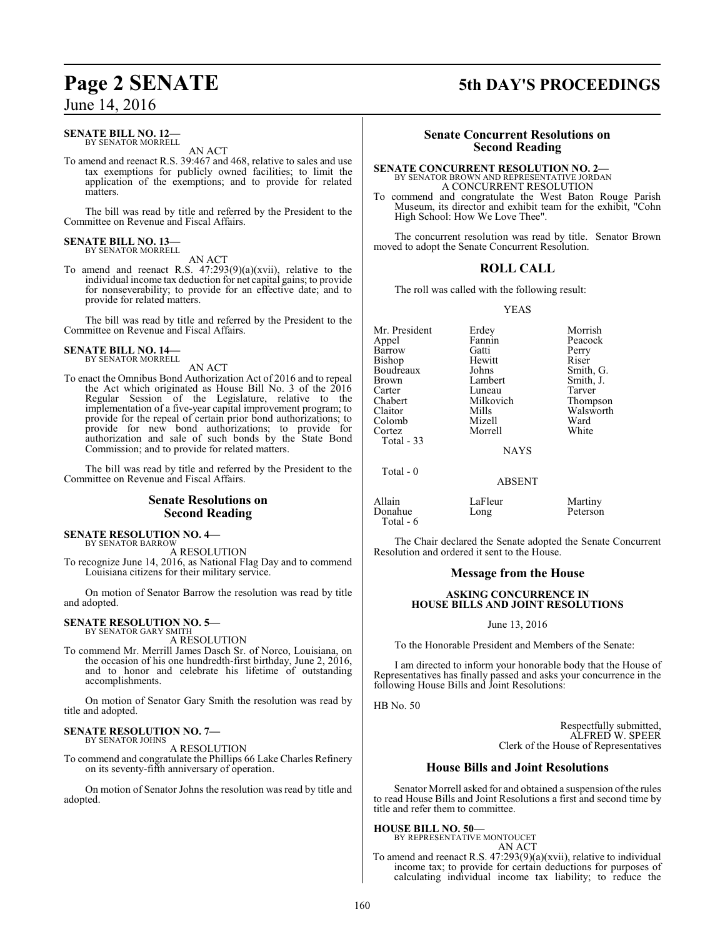# June 14, 2016

### **SENATE BILL NO. 12—** BY SENATOR MORRELL

AN ACT

To amend and reenact R.S. 39:467 and 468, relative to sales and use tax exemptions for publicly owned facilities; to limit the application of the exemptions; and to provide for related matters.

The bill was read by title and referred by the President to the Committee on Revenue and Fiscal Affairs.

# **SENATE BILL NO. 13—** BY SENATOR MORRELL

AN ACT

To amend and reenact R.S. 47:293(9)(a)(xvii), relative to the individual income tax deduction for net capital gains; to provide for nonseverability; to provide for an effective date; and to provide for related matters.

The bill was read by title and referred by the President to the Committee on Revenue and Fiscal Affairs.

### **SENATE BILL NO. 14—** BY SENATOR MORRELL

AN ACT

To enact the Omnibus Bond Authorization Act of 2016 and to repeal the Act which originated as House Bill No. 3 of the 2016 Regular Session of the Legislature, relative to the implementation of a five-year capital improvement program; to provide for the repeal of certain prior bond authorizations; to provide for new bond authorizations; to provide for authorization and sale of such bonds by the State Bond Commission; and to provide for related matters.

The bill was read by title and referred by the President to the Committee on Revenue and Fiscal Affairs.

# **Senate Resolutions on Second Reading**

### **SENATE RESOLUTION NO. 4—** BY SENATOR BARROW

A RESOLUTION

To recognize June 14, 2016, as National Flag Day and to commend Louisiana citizens for their military service.

On motion of Senator Barrow the resolution was read by title and adopted.

# **SENATE RESOLUTION NO. 5—** BY SENATOR GARY SMITH

A RESOLUTION

To commend Mr. Merrill James Dasch Sr. of Norco, Louisiana, on the occasion of his one hundredth-first birthday, June 2, 2016, and to honor and celebrate his lifetime of outstanding accomplishments.

On motion of Senator Gary Smith the resolution was read by title and adopted.

### **SENATE RESOLUTION NO. 7—** BY SENATOR JOHNS

A RESOLUTION

To commend and congratulate the Phillips 66 Lake Charles Refinery on its seventy-fifth anniversary of operation.

On motion of Senator Johns the resolution was read by title and adopted.

# **Page 2 SENATE 5th DAY'S PROCEEDINGS**

# **Senate Concurrent Resolutions on Second Reading**

### **SENATE CONCURRENT RESOLUTION NO. 2—** BY SENATOR BROWN AND REPRESENTATIVE JORDAN A CONCURRENT RESOLUTION

To commend and congratulate the West Baton Rouge Parish Museum, its director and exhibit team for the exhibit, "Cohn High School: How We Love Thee".

The concurrent resolution was read by title. Senator Brown moved to adopt the Senate Concurrent Resolution.

# **ROLL CALL**

The roll was called with the following result:

YEAS

Mr. President Erdey Morrish<br>
Appel Fannin Peacock Barrow Gatti<br>Bishon Hewitt Bishop Hewitt Riser<br>Boudreaux Johns Smith Boudreaux Johns Smith, G.<br>Brown Lambert Smith, J. Brown Lambert Smith, J.<br>
Carter Luneau Tarver Carter Luneau<br>
Chabert Milkovich Chabert Milkovich Thompson<br>Claitor Mills Walsworth Colomb Mizell Ward<br>Cortez Morrell White Total - 33

Total - 0

Morrell

Fannin Peacock<br>Gatti Perry Mills Walsworth<br>
Mizell Ward

NAYS

# ABSENT

Allain LaFleur Martiny<br>
Donahue Long Peterson Donahue Total - 6

The Chair declared the Senate adopted the Senate Concurrent Resolution and ordered it sent to the House.

# **Message from the House**

# **ASKING CONCURRENCE IN HOUSE BILLS AND JOINT RESOLUTIONS**

June 13, 2016

To the Honorable President and Members of the Senate:

I am directed to inform your honorable body that the House of Representatives has finally passed and asks your concurrence in the following House Bills and Joint Resolutions:

HB No. 50

Respectfully submitted, ALFRED W. SPEER Clerk of the House of Representatives

# **House Bills and Joint Resolutions**

Senator Morrell asked for and obtained a suspension of the rules to read House Bills and Joint Resolutions a first and second time by title and refer them to committee.

# **HOUSE BILL NO. 50—**

BY REPRESENTATIVE MONTOUCET AN ACT

To amend and reenact R.S. 47:293(9)(a)(xvii), relative to individual income tax; to provide for certain deductions for purposes of calculating individual income tax liability; to reduce the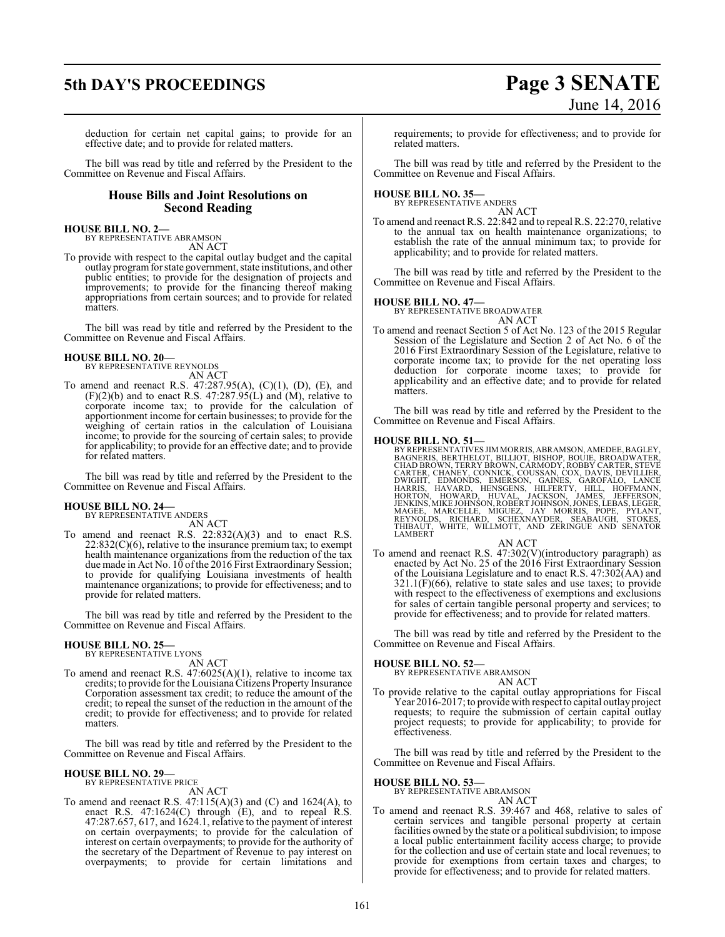# **5th DAY'S PROCEEDINGS Page 3 SENATE**

# deduction for certain net capital gains; to provide for an effective date; and to provide for related matters.

The bill was read by title and referred by the President to the Committee on Revenue and Fiscal Affairs.

# **House Bills and Joint Resolutions on Second Reading**

### **HOUSE BILL NO. 2—** BY REPRESENTATIVE ABRAMSON AN ACT

To provide with respect to the capital outlay budget and the capital outlay programfor state government, state institutions, and other public entities; to provide for the designation of projects and improvements; to provide for the financing thereof making appropriations from certain sources; and to provide for related matters.

The bill was read by title and referred by the President to the Committee on Revenue and Fiscal Affairs.

# **HOUSE BILL NO. 20—** BY REPRESENTATIVE REYNOLDS

AN ACT

To amend and reenact R.S. 47:287.95(A), (C)(1), (D), (E), and  $(F)(2)(b)$  and to enact R.S. 47:287.95(L) and  $(M)$ , relative to corporate income tax; to provide for the calculation of apportionment income for certain businesses; to provide for the weighing of certain ratios in the calculation of Louisiana income; to provide for the sourcing of certain sales; to provide for applicability; to provide for an effective date; and to provide for related matters.

The bill was read by title and referred by the President to the Committee on Revenue and Fiscal Affairs.

# **HOUSE BILL NO. 24—** BY REPRESENTATIVE ANDERS

AN ACT

To amend and reenact R.S. 22:832(A)(3) and to enact R.S. 22:832(C)(6), relative to the insurance premium tax; to exempt health maintenance organizations from the reduction of the tax due made in Act No. 10 of the 2016 First Extraordinary Session; to provide for qualifying Louisiana investments of health maintenance organizations; to provide for effectiveness; and to provide for related matters.

The bill was read by title and referred by the President to the Committee on Revenue and Fiscal Affairs.

### **HOUSE BILL NO. 25—** BY REPRESENTATIVE LYONS

AN ACT

To amend and reenact R.S. 47:6025(A)(1), relative to income tax credits; to provide for the Louisiana Citizens Property Insurance Corporation assessment tax credit; to reduce the amount of the credit; to repeal the sunset of the reduction in the amount of the credit; to provide for effectiveness; and to provide for related matters.

The bill was read by title and referred by the President to the Committee on Revenue and Fiscal Affairs.

### **HOUSE BILL NO. 29—** BY REPRESENTATIVE PRICE

AN ACT

To amend and reenact R.S.  $47:115(A)(3)$  and  $(C)$  and  $1624(A)$ , to enact R.S. 47:1624(C) through (E), and to repeal R.S. 47:287.657, 617, and 1624.1, relative to the payment of interest on certain overpayments; to provide for the calculation of interest on certain overpayments; to provide for the authority of the secretary of the Department of Revenue to pay interest on overpayments; to provide for certain limitations and

# requirements; to provide for effectiveness; and to provide for related matters.

The bill was read by title and referred by the President to the Committee on Revenue and Fiscal Affairs.

# **HOUSE BILL NO. 35—** BY REPRESENTATIVE ANDERS

AN ACT

To amend and reenact R.S. 22:842 and to repeal R.S. 22:270, relative to the annual tax on health maintenance organizations; to establish the rate of the annual minimum tax; to provide for applicability; and to provide for related matters.

The bill was read by title and referred by the President to the Committee on Revenue and Fiscal Affairs.

# **HOUSE BILL NO. 47—**

BY REPRESENTATIVE BROADWATER AN ACT

To amend and reenact Section 5 of Act No. 123 of the 2015 Regular Session of the Legislature and Section 2 of Act No. 6 of the 2016 First Extraordinary Session of the Legislature, relative to corporate income tax; to provide for the net operating loss deduction for corporate income taxes; to provide for applicability and an effective date; and to provide for related matters.

The bill was read by title and referred by the President to the Committee on Revenue and Fiscal Affairs.

**HOUSE BILL NO. 51—** BY REPRESENTATIVES JIMMORRIS, ABRAMSON, AMEDEE, BAGLEY, BAGNERIS, BERTHELOT, BILIOT, BISHOP, BOUIE, BROADWATER, CHAD BROWN, TERRY BROWN, CARMODY, ROBBY CARTER, STEVE<br>CHAD BROWN, TERRY BROWN, CARMODY, ROUIE, BROADWATER,<br>CAR

# AN ACT

To amend and reenact R.S. 47:302(V)(introductory paragraph) as enacted by Act No. 25 of the 2016 First Extraordinary Session of the Louisiana Legislature and to enact R.S. 47:302(AA) and  $321.1(F)(66)$ , relative to state sales and use taxes; to provide with respect to the effectiveness of exemptions and exclusions for sales of certain tangible personal property and services; to provide for effectiveness; and to provide for related matters.

The bill was read by title and referred by the President to the Committee on Revenue and Fiscal Affairs.

# **HOUSE BILL NO. 52—**

BY REPRESENTATIVE ABRAMSON AN ACT

To provide relative to the capital outlay appropriations for Fiscal Year 2016-2017; to provide with respect to capital outlay project requests; to require the submission of certain capital outlay project requests; to provide for applicability; to provide for effectiveness.

The bill was read by title and referred by the President to the Committee on Revenue and Fiscal Affairs.

# **HOUSE BILL NO. 53—**

BY REPRESENTATIVE ABRAMSON

- AN ACT
- To amend and reenact R.S. 39:467 and 468, relative to sales of certain services and tangible personal property at certain facilities owned by the state or a political subdivision; to impose a local public entertainment facility access charge; to provide for the collection and use of certain state and local revenues; to provide for exemptions from certain taxes and charges; to provide for effectiveness; and to provide for related matters.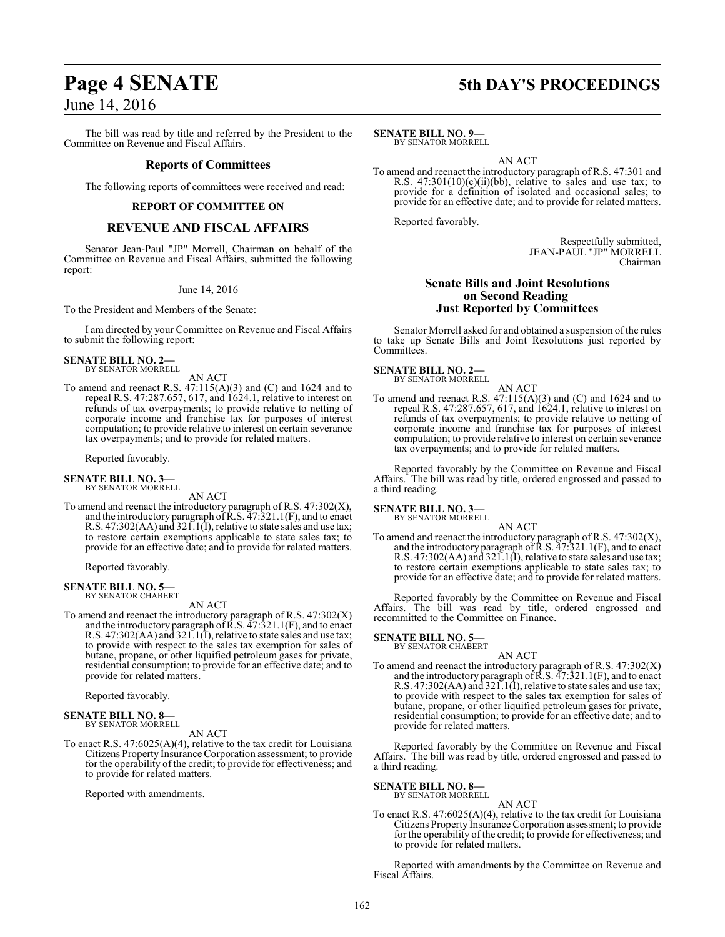# **Page 4 SENATE 5th DAY'S PROCEEDINGS**

# June 14, 2016

The bill was read by title and referred by the President to the Committee on Revenue and Fiscal Affairs.

# **Reports of Committees**

The following reports of committees were received and read:

# **REPORT OF COMMITTEE ON**

# **REVENUE AND FISCAL AFFAIRS**

Senator Jean-Paul "JP" Morrell, Chairman on behalf of the Committee on Revenue and Fiscal Affairs, submitted the following report:

# June 14, 2016

To the President and Members of the Senate:

I am directed by your Committee on Revenue and Fiscal Affairs to submit the following report:

# **SENATE BILL NO. 2—** BY SENATOR MORRELL

AN ACT

To amend and reenact R.S. 47:115(A)(3) and (C) and 1624 and to repeal R.S. 47:287.657, 617, and 1624.1, relative to interest on refunds of tax overpayments; to provide relative to netting of corporate income and franchise tax for purposes of interest computation; to provide relative to interest on certain severance tax overpayments; and to provide for related matters.

Reported favorably.

# **SENATE BILL NO. 3—** BY SENATOR MORRELL

AN ACT

To amend and reenact the introductory paragraph of R.S. 47:302(X), and the introductory paragraph of  $\bar{\rm R}$ .S.  $\bar{4}$ 7:321.1(F), and to enact R.S. 47:302(AA) and 321.1(I), relative to state sales and use tax; to restore certain exemptions applicable to state sales tax; to provide for an effective date; and to provide for related matters.

Reported favorably.

### **SENATE BILL NO. 5—** BY SENATOR CHABERT

AN ACT

To amend and reenact the introductory paragraph of R.S. 47:302(X) and the introductory paragraph of  $\bar{R}$ .S.  $\bar{4}7$ :321.1(F), and to enact R.S. 47:302(AA) and 321.1(I), relative to state sales and use tax; to provide with respect to the sales tax exemption for sales of butane, propane, or other liquified petroleum gases for private, residential consumption; to provide for an effective date; and to provide for related matters.

Reported favorably.

# **SENATE BILL NO. 8—** BY SENATOR MORRELL

AN ACT

To enact R.S. 47:6025(A)(4), relative to the tax credit for Louisiana Citizens Property Insurance Corporation assessment; to provide for the operability of the credit; to provide for effectiveness; and to provide for related matters.

Reported with amendments.

# **SENATE BILL NO. 9—**

BY SENATOR MORRELL

AN ACT

To amend and reenact the introductory paragraph of R.S. 47:301 and R.S.  $47:301(10)(c)(ii)(bb)$ , relative to sales and use tax; to provide for a definition of isolated and occasional sales; to provide for an effective date; and to provide for related matters.

Reported favorably.

Respectfully submitted, JEAN-PAUL "JP" MORRELL Chairman

# **Senate Bills and Joint Resolutions on Second Reading Just Reported by Committees**

Senator Morrell asked for and obtained a suspension of the rules to take up Senate Bills and Joint Resolutions just reported by Committees.

**SENATE BILL NO. 2—**

BY SENATOR MORRELL

AN ACT To amend and reenact R.S.  $47:115(A)(3)$  and (C) and 1624 and to repeal R.S. 47:287.657, 617, and 1624.1, relative to interest on refunds of tax overpayments; to provide relative to netting of corporate income and franchise tax for purposes of interest computation; to provide relative to interest on certain severance tax overpayments; and to provide for related matters.

Reported favorably by the Committee on Revenue and Fiscal Affairs. The bill was read by title, ordered engrossed and passed to a third reading.

**SENATE BILL NO. 3—**

BY SENATOR MORRELL AN ACT

To amend and reenact the introductory paragraph of R.S. 47:302(X), and the introductory paragraph of  $\bar{R}$ .S.  $\bar{4}7$ :321.1(F), and to enact R.S. 47:302(AA) and 321.1(I), relative to state sales and use tax; to restore certain exemptions applicable to state sales tax; to provide for an effective date; and to provide for related matters.

Reported favorably by the Committee on Revenue and Fiscal Affairs. The bill was read by title, ordered engrossed and recommitted to the Committee on Finance.

# **SENATE BILL NO. 5—**<br>BY SENATOR CHABERT

AN ACT To amend and reenact the introductory paragraph of R.S. 47:302(X) and the introductory paragraph of  $\bar{R}$ .S.  $\bar{4}7$ :321.1(F), and to enact R.S. 47:302(AA) and 321.1(I), relative to state sales and use tax; to provide with respect to the sales tax exemption for sales of butane, propane, or other liquified petroleum gases for private, residential consumption; to provide for an effective date; and to provide for related matters.

Reported favorably by the Committee on Revenue and Fiscal Affairs. The bill was read by title, ordered engrossed and passed to a third reading.

**SENATE BILL NO. 8—** BY SENATOR MORRELL

AN ACT

To enact R.S. 47:6025(A)(4), relative to the tax credit for Louisiana Citizens Property Insurance Corporation assessment; to provide for the operability of the credit; to provide for effectiveness; and to provide for related matters.

Reported with amendments by the Committee on Revenue and Fiscal Affairs.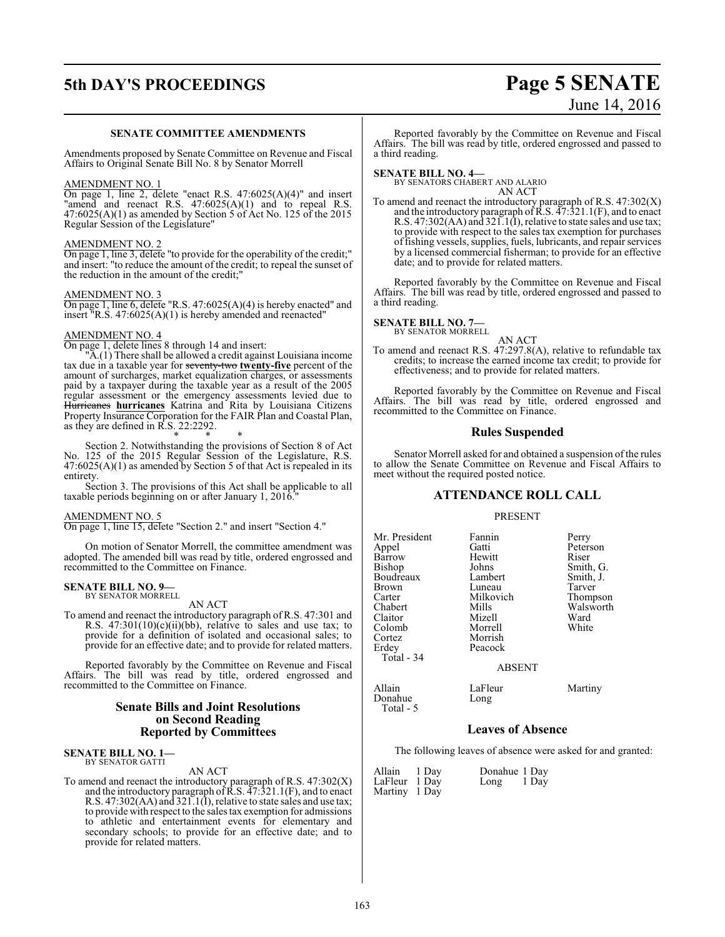# **5th DAY'S PROCEEDINGS Page 5 SENATE**

# June 14, 2016

# **SENATE COMMITTEE AMENDMENTS**

Amendments proposed by Senate Committee on Revenue and Fiscal Affairs to Original Senate Bill No. 8 by Senator Morrell

# AMENDMENT NO. 1

On page 1, line 2, delete "enact R.S. 47:6025(A)(4)" and insert "amend and reenact R.S. 47:6025(A)(1) and to repeal R.S.  $47:6025(A)(1)$  as amended by Section 5 of Act No. 125 of the 2015 Regular Session of the Legislature"

# AMENDMENT NO. 2

On page 1, line 3, delete "to provide for the operability of the credit;" and insert: "to reduce the amount of the credit; to repeal the sunset of the reduction in the amount of the credit;"

# AMENDMENT NO. 3

On page 1, line 6, delete "R.S. 47:6025(A)(4) is hereby enacted" and insert "R.S. 47:6025(A)(1) is hereby amended and reenacted"

# AMENDMENT NO. 4

On page 1, delete lines 8 through 14 and insert:

"A.(1) There shall be allowed a credit against Louisiana income tax due in a taxable year for seventy-two **twenty-five** percent of the amount of surcharges, market equalization charges, or assessments paid by a taxpayer during the taxable year as a result of the 2005 regular assessment or the emergency assessments levied due to Hurricanes **hurricanes** Katrina and Rita by Louisiana Citizens Property Insurance Corporation for the FAIR Plan and Coastal Plan, as they are defined in R.S. 22:2292.

\* \* \* Section 2. Notwithstanding the provisions of Section 8 of Act No. 125 of the 2015 Regular Session of the Legislature, R.S. 47:6025(A)(1) as amended by Section 5 of that Act is repealed in its entirety.

Section 3. The provisions of this Act shall be applicable to all taxable periods beginning on or after January 1, 2016."

# AMENDMENT NO. 5

On page 1, line 15, delete "Section 2." and insert "Section 4."

On motion of Senator Morrell, the committee amendment was adopted. The amended bill was read by title, ordered engrossed and recommitted to the Committee on Finance.

### **SENATE BILL NO. 9—** BY SENATOR MORRELL

AN ACT

To amend and reenact the introductory paragraph of R.S. 47:301 and R.S.  $47:301(10)(c)(ii)(bb)$ , relative to sales and use tax; to provide for a definition of isolated and occasional sales; to provide for an effective date; and to provide for related matters.

Reported favorably by the Committee on Revenue and Fiscal Affairs. The bill was read by title, ordered engrossed and recommitted to the Committee on Finance.

# **Senate Bills and Joint Resolutions on Second Reading Reported by Committees**

# **SENATE BILL NO. 1—** BY SENATOR GATTI

### AN ACT

To amend and reenact the introductory paragraph of R.S. 47:302(X) and the introductory paragraph of  $\bar{R}$ .S.  $\bar{4}7$ :321.1(F), and to enact R.S. 47:302(AA) and 321.1(I), relative to state sales and use tax; to provide with respect to the sales tax exemption for admissions to athletic and entertainment events for elementary and secondary schools; to provide for an effective date; and to provide for related matters.

Reported favorably by the Committee on Revenue and Fiscal Affairs. The bill was read by title, ordered engrossed and passed to a third reading.

**SENATE BILL NO. 4—** BY SENATORS CHABERT AND ALARIO AN ACT

To amend and reenact the introductory paragraph of R.S. 47:302(X) and the introductory paragraph of  $\bar{R}$ .S.  $\bar{4}7$ :321.1(F), and to enact R.S. 47:302(AA) and 321.1(I), relative to state sales and use tax; to provide with respect to the sales tax exemption for purchases offishing vessels, supplies, fuels, lubricants, and repair services by a licensed commercial fisherman; to provide for an effective date; and to provide for related matters.

Reported favorably by the Committee on Revenue and Fiscal Affairs. The bill was read by title, ordered engrossed and passed to a third reading.

# **SENATE BILL NO. 7—**<br>BY SENATOR MORRELL

AN ACT To amend and reenact R.S. 47:297.8(A), relative to refundable tax credits; to increase the earned income tax credit; to provide for effectiveness; and to provide for related matters.

Reported favorably by the Committee on Revenue and Fiscal Affairs. The bill was read by title, ordered engrossed and recommitted to the Committee on Finance.

# **Rules Suspended**

Senator Morrell asked for and obtained a suspension of the rules to allow the Senate Committee on Revenue and Fiscal Affairs to meet without the required posted notice.

# **ATTENDANCE ROLL CALL**

# PRESENT

| Mr. President | Fannin        | Perry     |
|---------------|---------------|-----------|
| Appel         | Gatti         | Peterson  |
| Barrow        | Hewitt        | Riser     |
| Bishop        | Johns         | Smith, G. |
| Boudreaux     | Lambert       | Smith, J. |
| <b>Brown</b>  | Luneau        | Tarver    |
| Carter        | Milkovich     | Thompson  |
| Chabert       | Mills         | Walsworth |
| Claitor       | Mizell        | Ward      |
| Colomb        | Morrell       | White     |
| Cortez        | Morrish       |           |
| Erdey         | Peacock       |           |
| Total - 34    |               |           |
|               | <b>ABSENT</b> |           |
|               |               |           |

Allain LaFleur Martiny<br>
Donahue Long Donahue Total - 5

# **Leaves of Absence**

The following leaves of absence were asked for and granted:

| Allain 1 Day  | Donahue 1 Day |  |
|---------------|---------------|--|
| LaFleur 1 Day | Long 1 Day    |  |
| Martiny 1 Day |               |  |